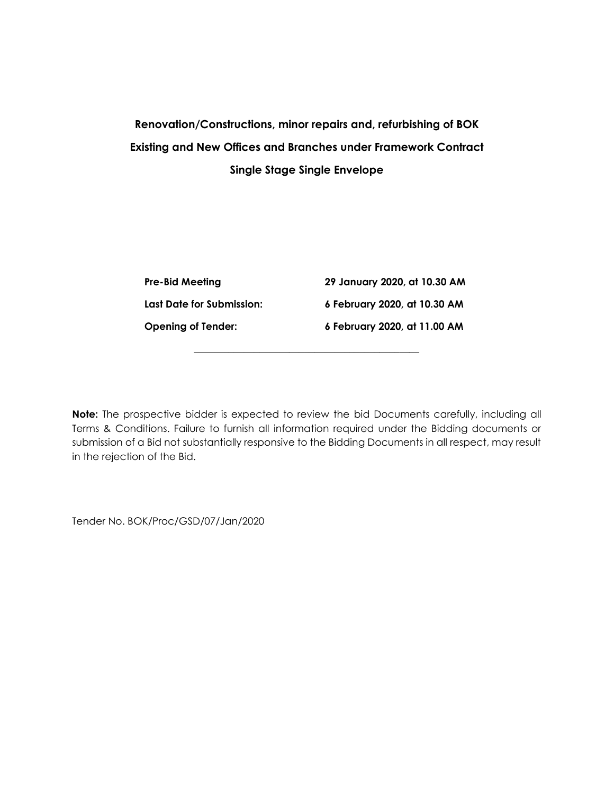# **Renovation/Constructions, minor repairs and, refurbishing of BOK Existing and New Offices and Branches under Framework Contract Single Stage Single Envelope**

| <b>Pre-Bid Meeting</b>    | 29 January 2020, at 10.30 AM |
|---------------------------|------------------------------|
| Last Date for Submission: | 6 February 2020, at 10.30 AM |
| <b>Opening of Tender:</b> | 6 February 2020, at 11.00 AM |

**\_\_\_\_\_\_\_\_\_\_\_\_\_\_\_\_\_\_\_\_\_\_\_\_\_\_\_\_\_\_\_\_\_\_\_\_\_\_\_\_\_\_\_\_\_**

**Note:** The prospective bidder is expected to review the bid Documents carefully, including all Terms & Conditions. Failure to furnish all information required under the Bidding documents or submission of a Bid not substantially responsive to the Bidding Documents in all respect, may result in the rejection of the Bid.

Tender No. BOK/Proc/GSD/07/Jan/2020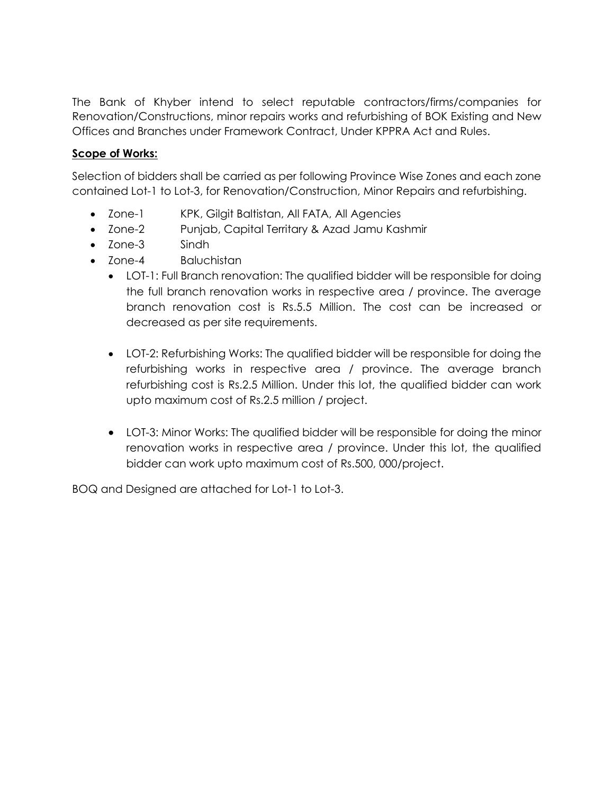The Bank of Khyber intend to select reputable contractors/firms/companies for Renovation/Constructions, minor repairs works and refurbishing of BOK Existing and New Offices and Branches under Framework Contract, Under KPPRA Act and Rules.

### **Scope of Works:**

Selection of bidders shall be carried as per following Province Wise Zones and each zone contained Lot-1 to Lot-3, for Renovation/Construction, Minor Repairs and refurbishing.

- Zone-1 KPK, Gilgit Baltistan, All FATA, All Agencies
- Zone-2 Punjab, Capital Territary & Azad Jamu Kashmir
- Zone-3 Sindh
- Zone-4 Baluchistan
	- LOT-1: Full Branch renovation: The qualified bidder will be responsible for doing the full branch renovation works in respective area / province. The average branch renovation cost is Rs.5.5 Million. The cost can be increased or decreased as per site requirements.
	- LOT-2: Refurbishing Works: The qualified bidder will be responsible for doing the refurbishing works in respective area / province. The average branch refurbishing cost is Rs.2.5 Million. Under this lot, the qualified bidder can work upto maximum cost of Rs.2.5 million / project.
	- LOT-3: Minor Works: The qualified bidder will be responsible for doing the minor renovation works in respective area / province. Under this lot, the qualified bidder can work upto maximum cost of Rs.500, 000/project.

BOQ and Designed are attached for Lot-1 to Lot-3.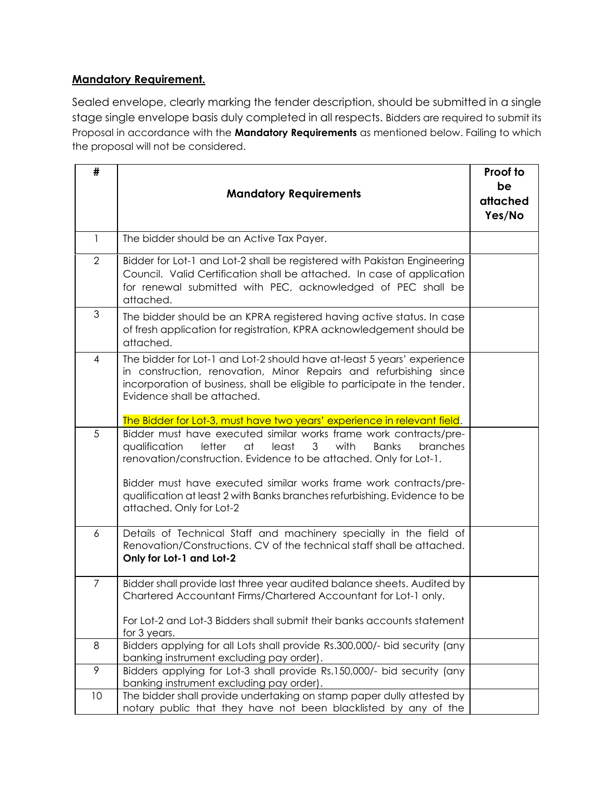# **Mandatory Requirement.**

Sealed envelope, clearly marking the tender description, should be submitted in a single stage single envelope basis duly completed in all respects. Bidders are required to submit its Proposal in accordance with the **Mandatory Requirements** as mentioned below. Failing to which the proposal will not be considered.

| #              | <b>Mandatory Requirements</b>                                                                                                                                                                                                                                                                                                                                                                                                                           | Proof to<br>be<br>attached<br>Yes/No |
|----------------|---------------------------------------------------------------------------------------------------------------------------------------------------------------------------------------------------------------------------------------------------------------------------------------------------------------------------------------------------------------------------------------------------------------------------------------------------------|--------------------------------------|
| $\mathbf{1}$   | The bidder should be an Active Tax Payer.                                                                                                                                                                                                                                                                                                                                                                                                               |                                      |
| $\overline{2}$ | Bidder for Lot-1 and Lot-2 shall be registered with Pakistan Engineering<br>Council. Valid Certification shall be attached. In case of application<br>for renewal submitted with PEC, acknowledged of PEC shall be<br>attached.                                                                                                                                                                                                                         |                                      |
| $\mathfrak{S}$ | The bidder should be an KPRA registered having active status. In case<br>of fresh application for registration, KPRA acknowledgement should be<br>attached.                                                                                                                                                                                                                                                                                             |                                      |
| $\overline{4}$ | The bidder for Lot-1 and Lot-2 should have at-least 5 years' experience<br>in construction, renovation, Minor Repairs and refurbishing since<br>incorporation of business, shall be eligible to participate in the tender.<br>Evidence shall be attached.                                                                                                                                                                                               |                                      |
| 5              | The Bidder for Lot-3, must have two years' experience in relevant field.<br>Bidder must have executed similar works frame work contracts/pre-<br>qualification<br>letter<br>at<br>least<br>3<br>with<br>branches<br><b>Banks</b><br>renovation/construction. Evidence to be attached. Only for Lot-1.<br>Bidder must have executed similar works frame work contracts/pre-<br>qualification at least 2 with Banks branches refurbishing. Evidence to be |                                      |
|                | attached. Only for Lot-2                                                                                                                                                                                                                                                                                                                                                                                                                                |                                      |
| 6              | Details of Technical Staff and machinery specially in the field of<br>Renovation/Constructions. CV of the technical staff shall be attached.<br>Only for Lot-1 and Lot-2                                                                                                                                                                                                                                                                                |                                      |
| $\overline{7}$ | Bidder shall provide last three year audited balance sheets. Audited by<br>Chartered Accountant Firms/Chartered Accountant for Lot-1 only.<br>For Lot-2 and Lot-3 Bidders shall submit their banks accounts statement<br>for 3 years.                                                                                                                                                                                                                   |                                      |
| 8              | Bidders applying for all Lots shall provide Rs.300,000/- bid security (any<br>banking instrument excluding pay order).                                                                                                                                                                                                                                                                                                                                  |                                      |
| 9              | Bidders applying for Lot-3 shall provide Rs.150,000/- bid security (any<br>banking instrument excluding pay order).                                                                                                                                                                                                                                                                                                                                     |                                      |
| 10             | The bidder shall provide undertaking on stamp paper dully attested by<br>notary public that they have not been blacklisted by any of the                                                                                                                                                                                                                                                                                                                |                                      |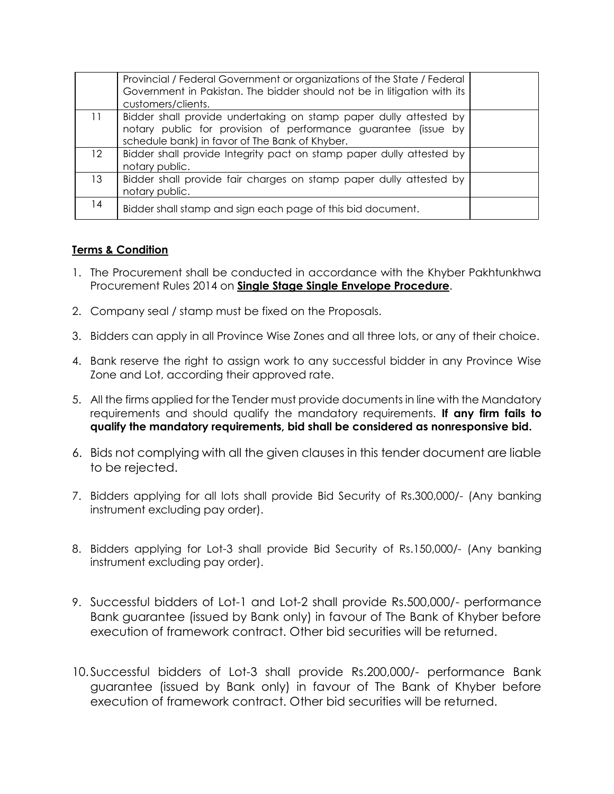|                 | Provincial / Federal Government or organizations of the State / Federal<br>Government in Pakistan. The bidder should not be in litigation with its<br>customers/clients.              |  |
|-----------------|---------------------------------------------------------------------------------------------------------------------------------------------------------------------------------------|--|
| 11              | Bidder shall provide undertaking on stamp paper dully attested by<br>notary public for provision of performance guarantee (issue by<br>schedule bank) in favor of The Bank of Khyber. |  |
| 12 <sup>2</sup> | Bidder shall provide Integrity pact on stamp paper dully attested by<br>notary public.                                                                                                |  |
| 13              | Bidder shall provide fair charges on stamp paper dully attested by<br>notary public.                                                                                                  |  |
| 14              | Bidder shall stamp and sign each page of this bid document.                                                                                                                           |  |

### **Terms & Condition**

- 1. The Procurement shall be conducted in accordance with the Khyber Pakhtunkhwa Procurement Rules 2014 on **Single Stage Single Envelope Procedure**.
- 2. Company seal / stamp must be fixed on the Proposals.
- 3. Bidders can apply in all Province Wise Zones and all three lots, or any of their choice.
- 4. Bank reserve the right to assign work to any successful bidder in any Province Wise Zone and Lot, according their approved rate.
- 5. All the firms applied for the Tender must provide documents in line with the Mandatory requirements and should qualify the mandatory requirements. **If any firm fails to qualify the mandatory requirements, bid shall be considered as nonresponsive bid.**
- 6. Bids not complying with all the given clauses in this tender document are liable to be rejected.
- 7. Bidders applying for all lots shall provide Bid Security of Rs.300,000/- (Any banking instrument excluding pay order).
- 8. Bidders applying for Lot-3 shall provide Bid Security of Rs.150,000/- (Any banking instrument excluding pay order).
- 9. Successful bidders of Lot-1 and Lot-2 shall provide Rs.500,000/- performance Bank guarantee (issued by Bank only) in favour of The Bank of Khyber before execution of framework contract. Other bid securities will be returned.
- 10.Successful bidders of Lot-3 shall provide Rs.200,000/- performance Bank guarantee (issued by Bank only) in favour of The Bank of Khyber before execution of framework contract. Other bid securities will be returned.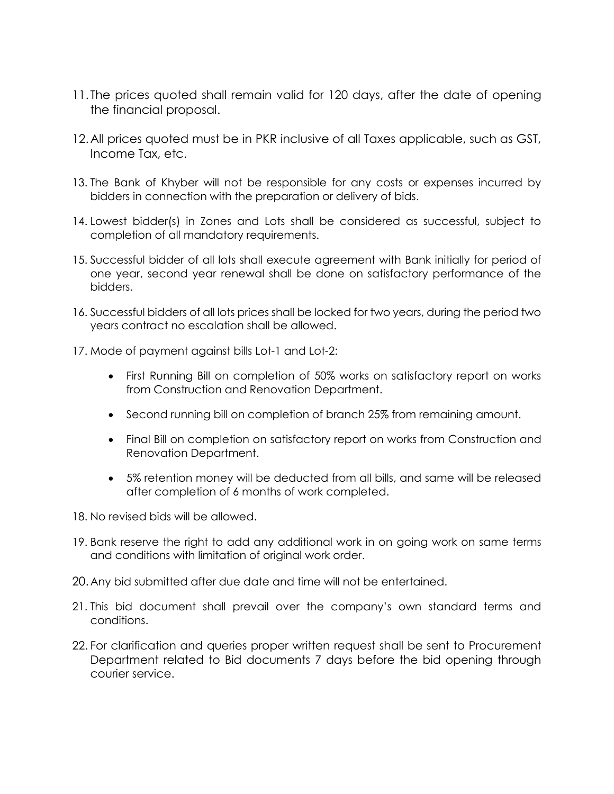- 11. The prices quoted shall remain valid for 120 days, after the date of opening the financial proposal.
- 12.All prices quoted must be in PKR inclusive of all Taxes applicable, such as GST, Income Tax, etc.
- 13. The Bank of Khyber will not be responsible for any costs or expenses incurred by bidders in connection with the preparation or delivery of bids.
- 14. Lowest bidder(s) in Zones and Lots shall be considered as successful, subject to completion of all mandatory requirements.
- 15. Successful bidder of all lots shall execute agreement with Bank initially for period of one year, second year renewal shall be done on satisfactory performance of the bidders.
- 16. Successful bidders of all lots prices shall be locked for two years, during the period two years contract no escalation shall be allowed.
- 17. Mode of payment against bills Lot-1 and Lot-2:
	- First Running Bill on completion of 50% works on satisfactory report on works from Construction and Renovation Department.
	- Second running bill on completion of branch 25% from remaining amount.
	- Final Bill on completion on satisfactory report on works from Construction and Renovation Department.
	- 5% retention money will be deducted from all bills, and same will be released after completion of 6 months of work completed.
- 18. No revised bids will be allowed.
- 19. Bank reserve the right to add any additional work in on going work on same terms and conditions with limitation of original work order.
- 20.Any bid submitted after due date and time will not be entertained.
- 21. This bid document shall prevail over the company's own standard terms and conditions.
- 22. For clarification and queries proper written request shall be sent to Procurement Department related to Bid documents 7 days before the bid opening through courier service.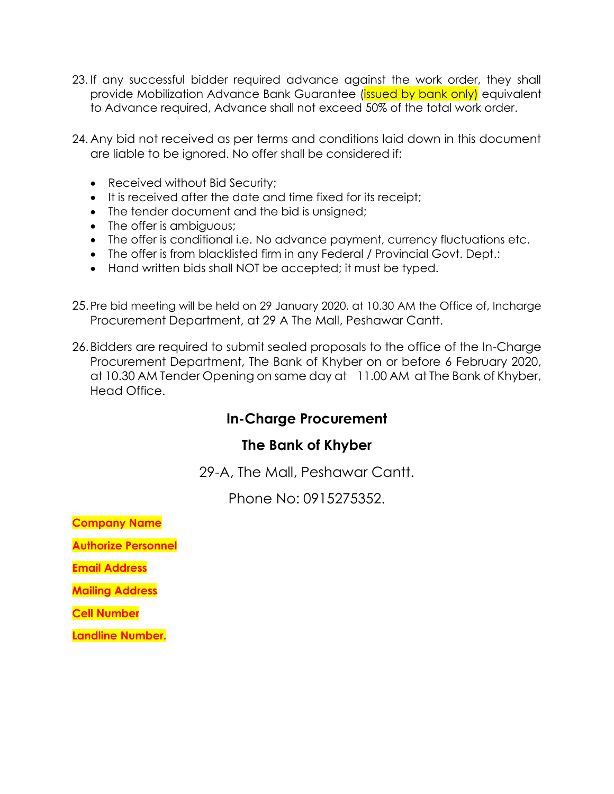- 23. If any successful bidder required advance against the work order, they shall provide Mobilization Advance Bank Guarantee (**issued by bank only)** equivalent to Advance required, Advance shall not exceed 50% of the total work order.
- 24. Any bid not received as per terms and conditions laid down in this document are liable to be ignored. No offer shall be considered if:
	- Received without Bid Security;
	- It is received after the date and time fixed for its receipt;
	- The tender document and the bid is unsigned;
	- The offer is ambiguous;
	- The offer is conditional i.e. No advance payment, currency fluctuations etc.
	- The offer is from blacklisted firm in any Federal / Provincial Govt. Dept.:
	- Hand written bids shall NOT be accepted; it must be typed.
- 25.Pre bid meeting will be held on 29 January 2020, at 10.30 AM the Office of, Incharge Procurement Department, at 29 A The Mall, Peshawar Cantt.
- 26.Bidders are required to submit sealed proposals to the office of the In-Charge Procurement Department, The Bank of Khyber on or before 6 February 2020, at 10.30 AM Tender Opening on same day at 11.00 AM at The Bank of Khyber, Head Office.

# **In-Charge Procurement**

# **The Bank of Khyber**

29-A, The Mall, Peshawar Cantt.

Phone No: 0915275352.

**Company Name**

**Authorize Personnel**

**Email Address**

**Mailing Address**

**Cell Number**

**Landline Number.**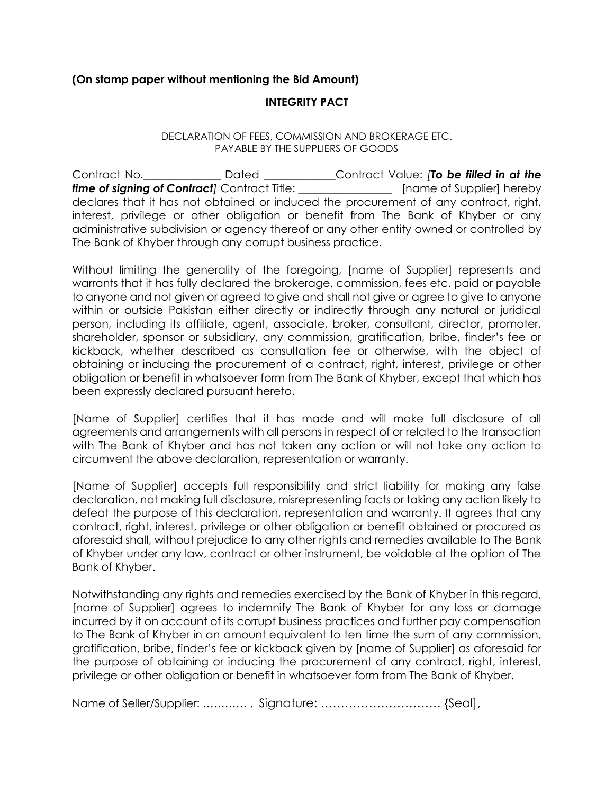#### **(On stamp paper without mentioning the Bid Amount)**

#### **INTEGRITY PACT**

#### DECLARATION OF FEES, COMMISSION AND BROKERAGE ETC. PAYABLE BY THE SUPPLIERS OF GOODS

Contract No.\_\_\_\_\_\_\_\_\_\_\_\_\_\_ Dated \_\_\_\_\_\_\_\_\_\_\_\_\_Contract Value: *[To be filled in at the*  **time of signing of Contract***]* Contract Title: *Contractal* [name of Supplier] hereby declares that it has not obtained or induced the procurement of any contract, right, interest, privilege or other obligation or benefit from The Bank of Khyber or any administrative subdivision or agency thereof or any other entity owned or controlled by The Bank of Khyber through any corrupt business practice.

Without limiting the generality of the foregoing, [name of Supplier] represents and warrants that it has fully declared the brokerage, commission, fees etc. paid or payable to anyone and not given or agreed to give and shall not give or agree to give to anyone within or outside Pakistan either directly or indirectly through any natural or juridical person, including its affiliate, agent, associate, broker, consultant, director, promoter, shareholder, sponsor or subsidiary, any commission, gratification, bribe, finder's fee or kickback, whether described as consultation fee or otherwise, with the object of obtaining or inducing the procurement of a contract, right, interest, privilege or other obligation or benefit in whatsoever form from The Bank of Khyber, except that which has been expressly declared pursuant hereto.

[Name of Supplier] certifies that it has made and will make full disclosure of all agreements and arrangements with all persons in respect of or related to the transaction with The Bank of Khyber and has not taken any action or will not take any action to circumvent the above declaration, representation or warranty.

[Name of Supplier] accepts full responsibility and strict liability for making any false declaration, not making full disclosure, misrepresenting facts or taking any action likely to defeat the purpose of this declaration, representation and warranty. It agrees that any contract, right, interest, privilege or other obligation or benefit obtained or procured as aforesaid shall, without prejudice to any other rights and remedies available to The Bank of Khyber under any law, contract or other instrument, be voidable at the option of The Bank of Khyber.

Notwithstanding any rights and remedies exercised by the Bank of Khyber in this regard, [name of Supplier] agrees to indemnify The Bank of Khyber for any loss or damage incurred by it on account of its corrupt business practices and further pay compensation to The Bank of Khyber in an amount equivalent to ten time the sum of any commission, gratification, bribe, finder's fee or kickback given by [name of Supplier] as aforesaid for the purpose of obtaining or inducing the procurement of any contract, right, interest, privilege or other obligation or benefit in whatsoever form from The Bank of Khyber.

Name of Seller/Supplier: ………… , Signature: ………………………… {Seal],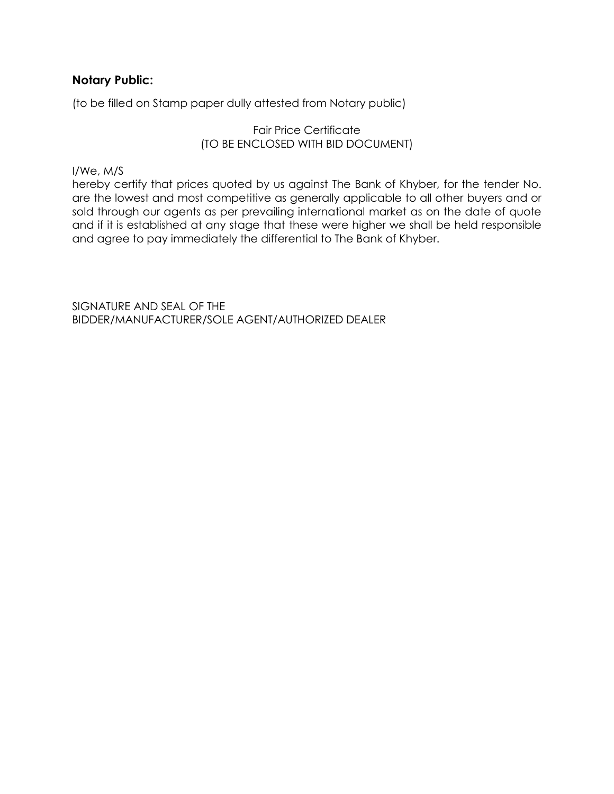# **Notary Public:**

(to be filled on Stamp paper dully attested from Notary public)

#### Fair Price Certificate (TO BE ENCLOSED WITH BID DOCUMENT)

I/We, M/S

hereby certify that prices quoted by us against The Bank of Khyber, for the tender No. are the lowest and most competitive as generally applicable to all other buyers and or sold through our agents as per prevailing international market as on the date of quote and if it is established at any stage that these were higher we shall be held responsible and agree to pay immediately the differential to The Bank of Khyber.

SIGNATURE AND SEAL OF THE BIDDER/MANUFACTURER/SOLE AGENT/AUTHORIZED DEALER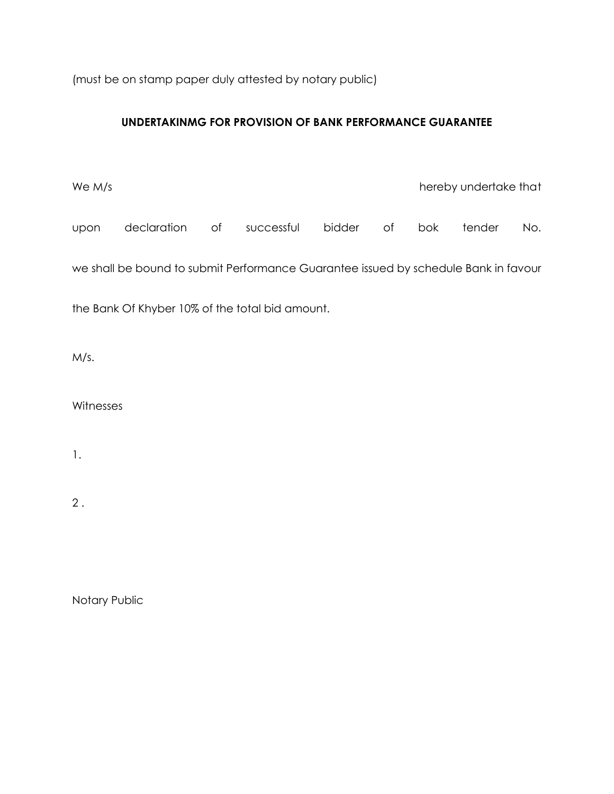(must be on stamp paper duly attested by notary public)

# **UNDERTAKINMG FOR PROVISION OF BANK PERFORMANCE GUARANTEE**

We M/s **hereby undertake that** upon declaration of successful bidder of bok tender No. we shall be bound to submit Performance Guarantee issued by schedule Bank in favour the Bank Of Khyber 10% of the total bid amount.

M/s.

**Witnesses** 

1.

2 .

Notary Public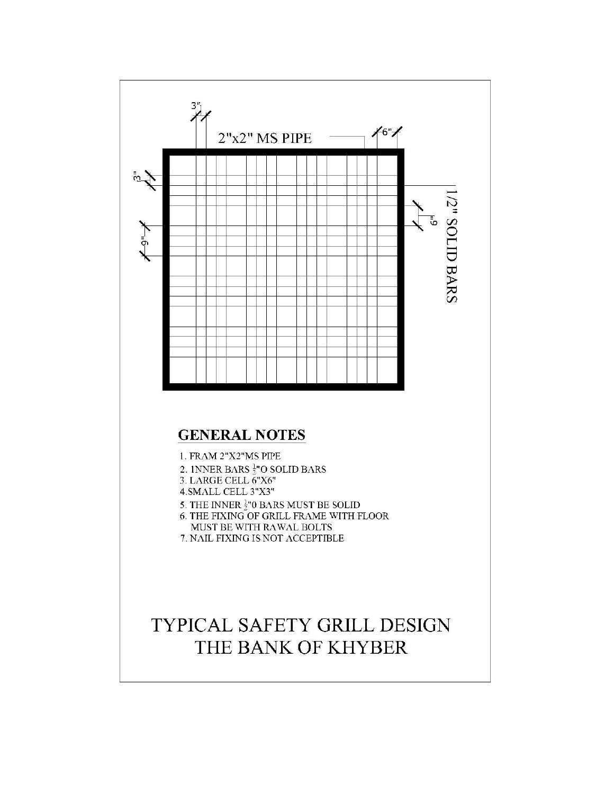